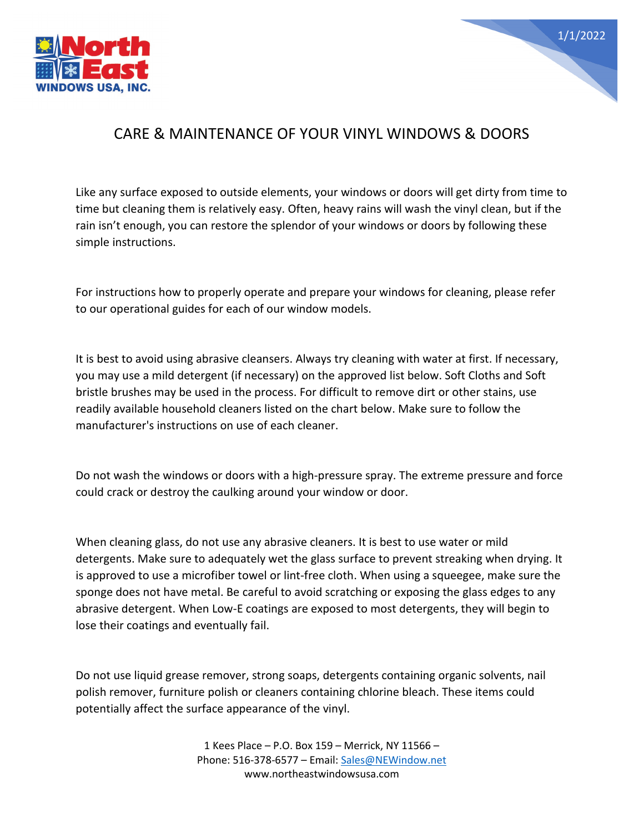



## CARE & MAINTENANCE OF YOUR VINYL WINDOWS & DOORS

Like any surface exposed to outside elements, your windows or doors will get dirty from time to time but cleaning them is relatively easy. Often, heavy rains will wash the vinyl clean, but if the rain isn't enough, you can restore the splendor of your windows or doors by following these simple instructions.

For instructions how to properly operate and prepare your windows for cleaning, please refer to our operational guides for each of our window models.

It is best to avoid using abrasive cleansers. Always try cleaning with water at first. If necessary, you may use a mild detergent (if necessary) on the approved list below. Soft Cloths and Soft bristle brushes may be used in the process. For difficult to remove dirt or other stains, use readily available household cleaners listed on the chart below. Make sure to follow the manufacturer's instructions on use of each cleaner.

Do not wash the windows or doors with a high-pressure spray. The extreme pressure and force could crack or destroy the caulking around your window or door.

When cleaning glass, do not use any abrasive cleaners. It is best to use water or mild detergents. Make sure to adequately wet the glass surface to prevent streaking when drying. It is approved to use a microfiber towel or lint-free cloth. When using a squeegee, make sure the sponge does not have metal. Be careful to avoid scratching or exposing the glass edges to any abrasive detergent. When Low-E coatings are exposed to most detergents, they will begin to lose their coatings and eventually fail.

Do not use liquid grease remover, strong soaps, detergents containing organic solvents, nail polish remover, furniture polish or cleaners containing chlorine bleach. These items could potentially affect the surface appearance of the vinyl.

> 1 Kees Place – P.O. Box 159 – Merrick, NY 11566 – Phone: 516-378-6577 – Email: [Sales@NEWindow.net](mailto:Sales@NEWindow.net) www.northeastwindowsusa.com